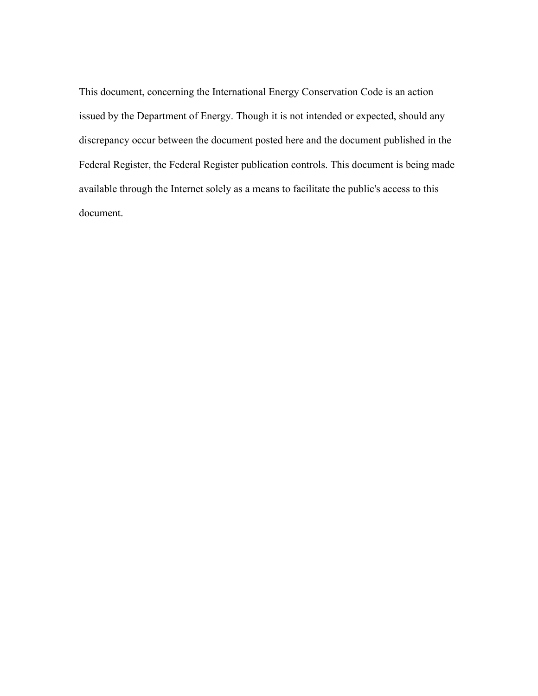This document, concerning the International Energy Conservation Code is an action issued by the Department of Energy. Though it is not intended or expected, should any discrepancy occur between the document posted here and the document published in the Federal Register, the Federal Register publication controls. This document is being made available through the Internet solely as a means to facilitate the public's access to this document.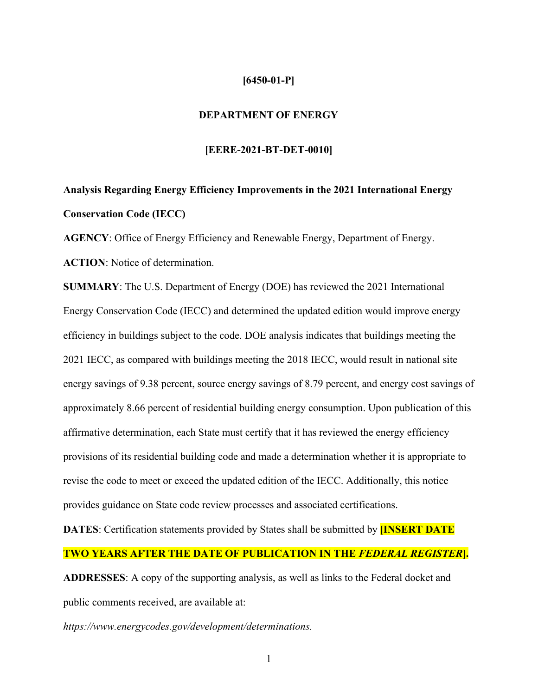## **[6450-01-P]**

## **DEPARTMENT OF ENERGY**

## **[EERE-2021-BT-DET-0010]**

# **Analysis Regarding Energy Efficiency Improvements in the 2021 International Energy Conservation Code (IECC)**

**AGENCY**: Office of Energy Efficiency and Renewable Energy, Department of Energy. **ACTION**: Notice of determination.

**SUMMARY**: The U.S. Department of Energy (DOE) has reviewed the 2021 International Energy Conservation Code (IECC) and determined the updated edition would improve energy efficiency in buildings subject to the code. DOE analysis indicates that buildings meeting the 2021 IECC, as compared with buildings meeting the 2018 IECC, would result in national site energy savings of 9.38 percent, source energy savings of 8.79 percent, and energy cost savings of approximately 8.66 percent of residential building energy consumption. Upon publication of this affirmative determination, each State must certify that it has reviewed the energy efficiency provisions of its residential building code and made a determination whether it is appropriate to revise the code to meet or exceed the updated edition of the IECC. Additionally, this notice provides guidance on State code review processes and associated certifications.

**DATES**: Certification statements provided by States shall be submitted by **[INSERT DATE**

# **TWO YEARS AFTER THE DATE OF PUBLICATION IN THE** *FEDERAL REGISTER***].**

**ADDRESSES**: A copy of the supporting analysis, as well as links to the Federal docket and public comments received, are available at:

*ht[tps://www.energyc](http://www.energycodes.gov/development/determinations)ode[s.gov/development/determinations.](http://www.energycodes.gov/development/determinations)*

1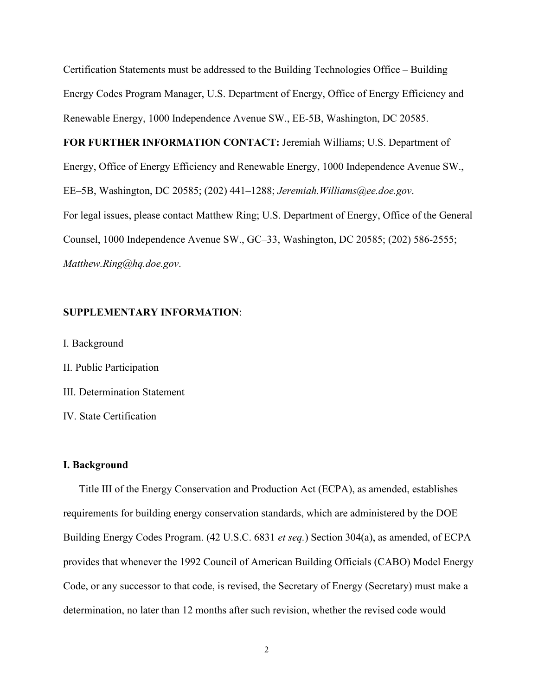Certification Statements must be addressed to the Building Technologies Office – Building Energy Codes Program Manager, U.S. Department of Energy, Office of Energy Efficiency and Renewable Energy, 1000 Independence Avenue SW., EE-5B, Washington, DC 20585.

**FOR FURTHER INFORMATION CONTACT:** Jeremiah Williams; U.S. Department of Energy, Office of Energy Efficiency and Renewable Energy, 1000 Independence Avenue SW., EE–5B, Washington, DC 20585; (202) 441–1288; *[Jeremiah.Williams@ee.doe.gov](mailto:Jeremiah.Williams@ee.doe.gov)*. For legal issues, please contact Matthew Ring; U.S. Department of Energy, Office of the General Counsel, 1000 Independence Avenue SW., GC–33, Washington, DC 20585; (202) 586-2555; *[Matthew.Ring@hq.doe.gov](mailto:Matthew.Ring@hq.doe.gov)*.

# **SUPPLEMENTARY INFORMATION**:

I. Background

II. Public Participation

III. Determination Statement

IV. State Certification

#### **I. Background**

Title III of the Energy Conservation and Production Act (ECPA), as amended, establishes requirements for building energy conservation standards, which are administered by the DOE Building Energy Codes Program. (42 U.S.C. 6831 *et seq.*) Section 304(a), as amended, of ECPA provides that whenever the 1992 Council of American Building Officials (CABO) Model Energy Code, or any successor to that code, is revised, the Secretary of Energy (Secretary) must make a determination, no later than 12 months after such revision, whether the revised code would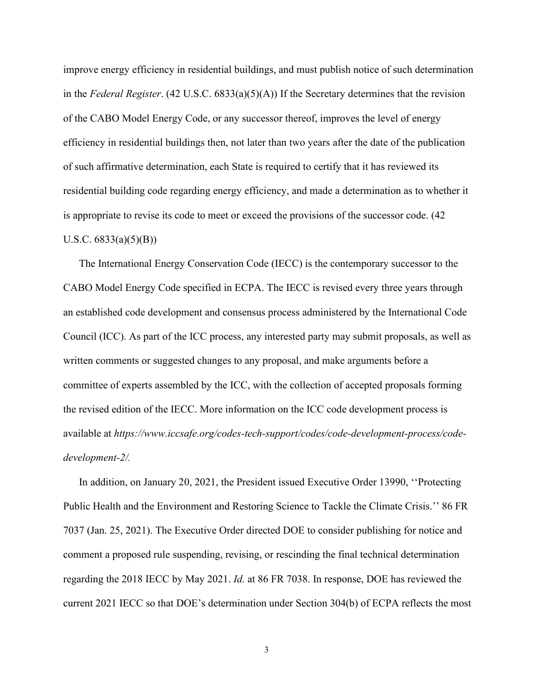improve energy efficiency in residential buildings, and must publish notice of such determination in the *Federal Register*. (42 U.S.C. 6833(a)(5)(A)) If the Secretary determines that the revision of the CABO Model Energy Code, or any successor thereof, improves the level of energy efficiency in residential buildings then, not later than two years after the date of the publication of such affirmative determination, each State is required to certify that it has reviewed its residential building code regarding energy efficiency, and made a determination as to whether it is appropriate to revise its code to meet or exceed the provisions of the successor code. (42 U.S.C.  $6833(a)(5)(B)$ 

The International Energy Conservation Code (IECC) is the contemporary successor to the CABO Model Energy Code specified in ECPA. The IECC is revised every three years through an established code development and consensus process administered by the International Code Council (ICC). As part of the ICC process, any interested party may submit proposals, as well as written comments or suggested changes to any proposal, and make arguments before a committee of experts assembled by the ICC, with the collection of accepted proposals forming the revised edition of the IECC. More information on the ICC code development process is available at *ht[tps://www.](http://www.iccsafe.org/codes-tech-support/codes/code-development-process/code-)ic[csafe.org/codes-tech-support/codes/code-development-process/code](http://www.iccsafe.org/codes-tech-support/codes/code-development-process/code-)development-2/.*

In addition, on January 20, 2021, the President issued Executive Order 13990, ''Protecting Public Health and the Environment and Restoring Science to Tackle the Climate Crisis.'' 86 FR 7037 (Jan. 25, 2021). The Executive Order directed DOE to consider publishing for notice and comment a proposed rule suspending, revising, or rescinding the final technical determination regarding the 2018 IECC by May 2021. *Id.* at 86 FR 7038. In response, DOE has reviewed the current 2021 IECC so that DOE's determination under Section 304(b) of ECPA reflects the most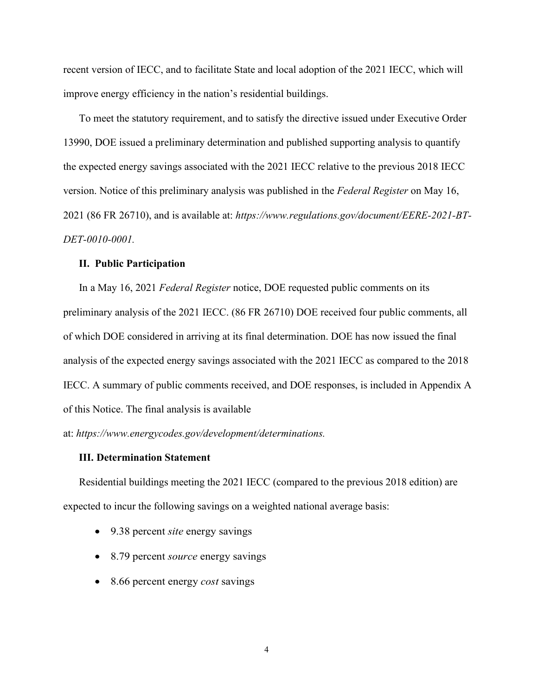recent version of IECC, and to facilitate State and local adoption of the 2021 IECC, which will improve energy efficiency in the nation's residential buildings.

To meet the statutory requirement, and to satisfy the directive issued under Executive Order 13990, DOE issued a preliminary determination and published supporting analysis to quantify the expected energy savings associated with the 2021 IECC relative to the previous 2018 IECC version. Notice of this preliminary analysis was published in the *Federal Register* on May 16, 2021 (86 FR 26710), and is available at: *https:[//www.regulations.gov/document/EERE-2021-BT-](http://www.regulations.gov/document/EERE-2021-BT-)DET-0010-0001.*

#### **II. Public Participation**

In a May 16, 2021 *Federal Register* notice, DOE requested public comments on its preliminary analysis of the 2021 IECC. (86 FR 26710) DOE received four public comments, all of which DOE considered in arriving at its final determination. DOE has now issued the final analysis of the expected energy savings associated with the 2021 IECC as compared to the 2018 IECC. A summary of public comments received, and DOE responses, is included in Appendix A of this Notice. The final analysis is available

at: *https:[//www.energycodes.gov/development/determinations.](http://www.energycodes.gov/development/determinations)*

## **III. Determination Statement**

Residential buildings meeting the 2021 IECC (compared to the previous 2018 edition) are expected to incur the following savings on a weighted national average basis:

- 9.38 percent *site* energy savings
- 8.79 percent *source* energy savings
- 8.66 percent energy *cost* savings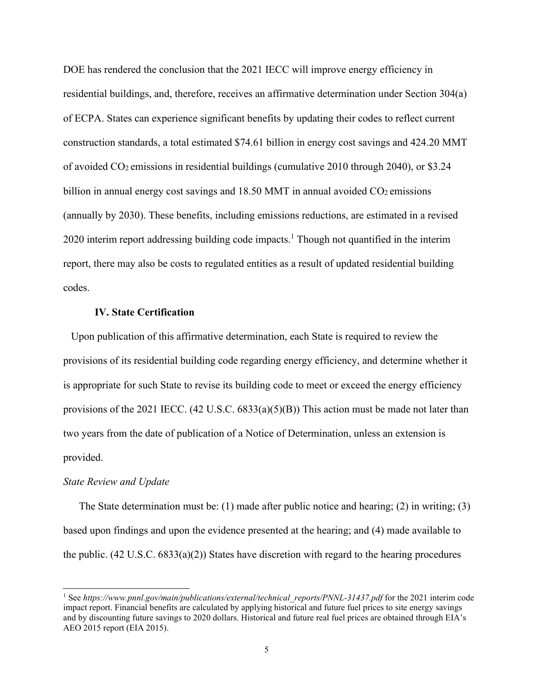DOE has rendered the conclusion that the 2021 IECC will improve energy efficiency in residential buildings, and, therefore, receives an affirmative determination under Section 304(a) of ECPA. States can experience significant benefits by updating their codes to reflect current construction standards, a total estimated \$74.61 billion in energy cost savings and 424.20 MMT of avoided  $CO<sub>2</sub>$  emissions in residential buildings (cumulative 2010 through 2040), or \$3.24 billion in annual energy cost savings and  $18.50$  MMT in annual avoided  $CO<sub>2</sub>$  emissions (annually by 2030). These benefits, including emissions reductions, are estimated in a revised  $2020$  interim report addressing building code impacts.<sup>1</sup> Though not quantified in the interim report, there may also be costs to regulated entities as a result of updated residential building codes.

## **IV. State Certification**

Upon publication of this affirmative determination, each State is required to review the provisions of its residential building code regarding energy efficiency, and determine whether it is appropriate for such State to revise its building code to meet or exceed the energy efficiency provisions of the 2021 IECC.  $(42 \text{ U.S.C. } 6833(a)(5)(B))$  This action must be made not later than two years from the date of publication of a Notice of Determination, unless an extension is provided.

#### *State Review and Update*

The State determination must be: (1) made after public notice and hearing; (2) in writing; (3) based upon findings and upon the evidence presented at the hearing; and (4) made available to the public. (42 U.S.C. 6833(a)(2)) States have discretion with regard to the hearing procedures

<sup>&</sup>lt;sup>1</sup> See *https://www.pnnl.gov/main/publications/external/technical reports/PNNL-31437.pdf for the 2021 interim code* impact report. Financial benefits are calculated by applying historical and future fuel prices to site energy savings and by discounting future savings to 2020 dollars. Historical and future real fuel prices are obtained through EIA's AEO 2015 report (EIA 2015).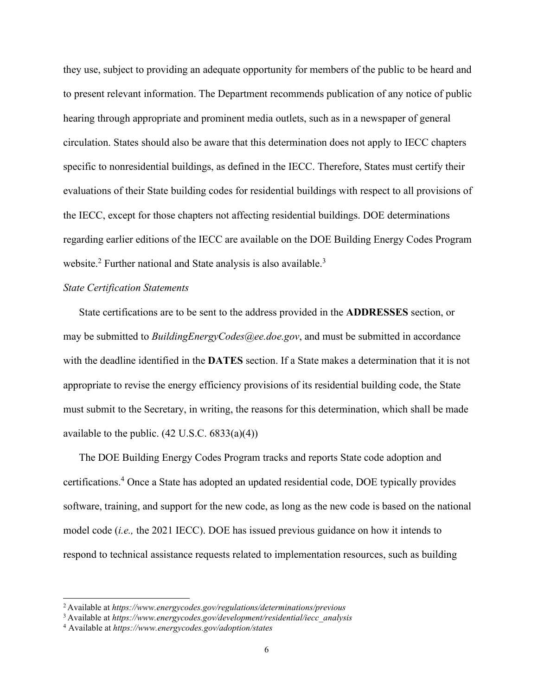they use, subject to providing an adequate opportunity for members of the public to be heard and to present relevant information. The Department recommends publication of any notice of public hearing through appropriate and prominent media outlets, such as in a newspaper of general circulation. States should also be aware that this determination does not apply to IECC chapters specific to nonresidential buildings, as defined in the IECC. Therefore, States must certify their evaluations of their State building codes for residential buildings with respect to all provisions of the IECC, except for those chapters not affecting residential buildings. DOE determinations regarding earlier editions of the IECC are available on the DOE Building Energy Codes Program website.<sup>2</sup> Further national and State analysis is also available.<sup>3</sup>

# *State Certification Statements*

State certifications are to be sent to the address provided in the **ADDRESSES** section, or may be submitted to *[BuildingEnergyCodes@ee.doe.gov](mailto:BuildingEnergyCodes@ee.doe.gov)*, and must be submitted in accordance with the deadline identified in the **DATES** section. If a State makes a determination that it is not appropriate to revise the energy efficiency provisions of its residential building code, the State must submit to the Secretary, in writing, the reasons for this determination, which shall be made available to the public.  $(42 \text{ U.S.C. } 6833(a)(4))$ 

The DOE Building Energy Codes Program tracks and reports State code adoption and certifications.4 Once a State has adopted an updated residential code, DOE typically provides software, training, and support for the new code, as long as the new code is based on the national model code (*i.e.,* the 2021 IECC). DOE has issued previous guidance on how it intends to respond to technical assistance requests related to implementation resources, such as building

<sup>2</sup> Available at *h[ttps://ww](http://www.energycodes.gov/regulations/determinations/previous)w.e[nergycodes.gov/regulations/determinations/previous](http://www.energycodes.gov/regulations/determinations/previous)*

<sup>3</sup> Available at *h[ttps://ww](http://www.energycodes.gov/development/residential/iecc_analysis)w.e[nergycodes.gov/development/residential/iecc\\_analysis](http://www.energycodes.gov/development/residential/iecc_analysis)*

<sup>4</sup> Available at *https:/[/www.energycodes.gov/adoption/states](http://www.energycodes.gov/adoption/states)*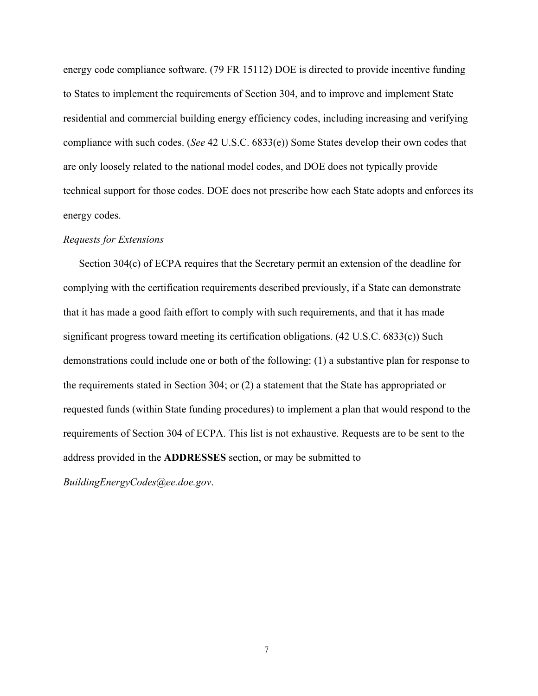energy code compliance software. (79 FR 15112) DOE is directed to provide incentive funding to States to implement the requirements of Section 304, and to improve and implement State residential and commercial building energy efficiency codes, including increasing and verifying compliance with such codes. (*See* 42 U.S.C. 6833(e)) Some States develop their own codes that are only loosely related to the national model codes, and DOE does not typically provide technical support for those codes. DOE does not prescribe how each State adopts and enforces its energy codes.

#### *Requests for Extensions*

Section 304(c) of ECPA requires that the Secretary permit an extension of the deadline for complying with the certification requirements described previously, if a State can demonstrate that it has made a good faith effort to comply with such requirements, and that it has made significant progress toward meeting its certification obligations. (42 U.S.C. 6833(c)) Such demonstrations could include one or both of the following: (1) a substantive plan for response to the requirements stated in Section 304; or (2) a statement that the State has appropriated or requested funds (within State funding procedures) to implement a plan that would respond to the requirements of Section 304 of ECPA. This list is not exhaustive. Requests are to be sent to the address provided in the **ADDRESSES** section, or may be submitted to

*[BuildingEnergyCodes@ee.doe.gov](mailto:BuildingEnergyCodes@ee.doe.gov)*.

7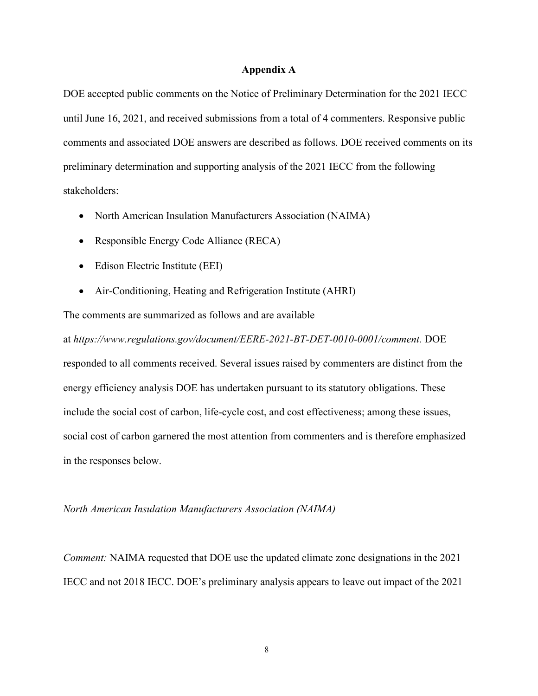#### **Appendix A**

DOE accepted public comments on the Notice of Preliminary Determination for the 2021 IECC until June 16, 2021, and received submissions from a total of 4 commenters. Responsive public comments and associated DOE answers are described as follows. DOE received comments on its preliminary determination and supporting analysis of the 2021 IECC from the following stakeholders:

- North American Insulation Manufacturers Association (NAIMA)
- Responsible Energy Code Alliance (RECA)
- Edison Electric Institute (EEI)
- Air-Conditioning, Heating and Refrigeration Institute (AHRI)

The comments are summarized as follows and are available

at *https:/[/www.regulations.gov/document/EERE-2021-BT-DET-0010-0001/comment.](http://www.regulations.gov/document/EERE-2021-BT-DET-0010-0001/comment)* DOE responded to all comments received. Several issues raised by commenters are distinct from the energy efficiency analysis DOE has undertaken pursuant to its statutory obligations. These include the social cost of carbon, life-cycle cost, and cost effectiveness; among these issues, social cost of carbon garnered the most attention from commenters and is therefore emphasized in the responses below.

## *North American Insulation Manufacturers Association (NAIMA)*

*Comment:* NAIMA requested that DOE use the updated climate zone designations in the 2021 IECC and not 2018 IECC. DOE's preliminary analysis appears to leave out impact of the 2021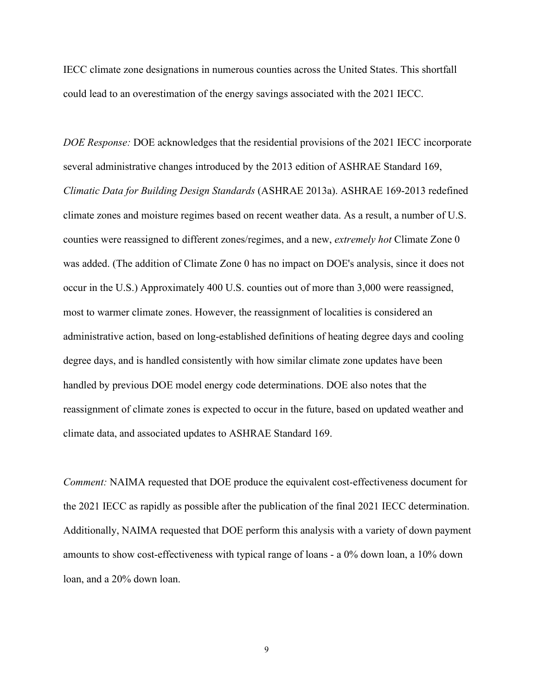IECC climate zone designations in numerous counties across the United States. This shortfall could lead to an overestimation of the energy savings associated with the 2021 IECC.

*DOE Response:* DOE acknowledges that the residential provisions of the 2021 IECC incorporate several administrative changes introduced by the 2013 edition of ASHRAE Standard 169, *Climatic Data for Building Design Standards* (ASHRAE 2013a). ASHRAE 169-2013 redefined climate zones and moisture regimes based on recent weather data. As a result, a number of U.S. counties were reassigned to different zones/regimes, and a new, *extremely hot* Climate Zone 0 was added. (The addition of Climate Zone 0 has no impact on DOE's analysis, since it does not occur in the U.S.) Approximately 400 U.S. counties out of more than 3,000 were reassigned, most to warmer climate zones. However, the reassignment of localities is considered an administrative action, based on long-established definitions of heating degree days and cooling degree days, and is handled consistently with how similar climate zone updates have been handled by previous DOE model energy code determinations. DOE also notes that the reassignment of climate zones is expected to occur in the future, based on updated weather and climate data, and associated updates to ASHRAE Standard 169.

*Comment:* NAIMA requested that DOE produce the equivalent cost-effectiveness document for the 2021 IECC as rapidly as possible after the publication of the final 2021 IECC determination. Additionally, NAIMA requested that DOE perform this analysis with a variety of down payment amounts to show cost-effectiveness with typical range of loans - a 0% down loan, a 10% down loan, and a 20% down loan.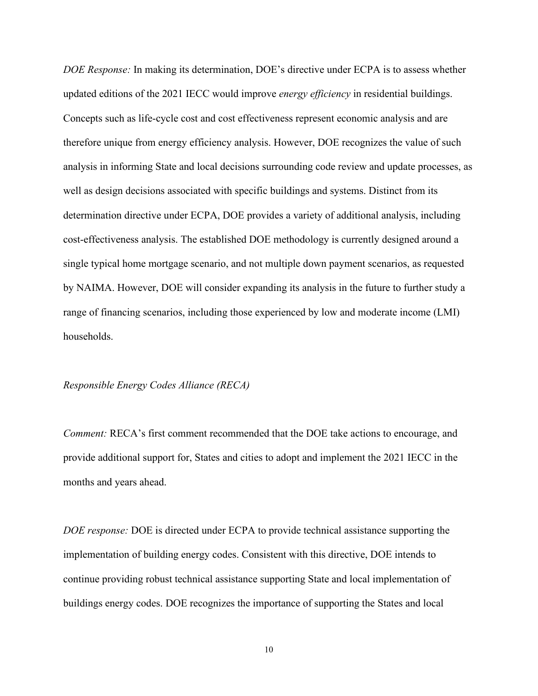*DOE Response:* In making its determination, DOE's directive under ECPA is to assess whether updated editions of the 2021 IECC would improve *energy efficiency* in residential buildings. Concepts such as life-cycle cost and cost effectiveness represent economic analysis and are therefore unique from energy efficiency analysis. However, DOE recognizes the value of such analysis in informing State and local decisions surrounding code review and update processes, as well as design decisions associated with specific buildings and systems. Distinct from its determination directive under ECPA, DOE provides a variety of additional analysis, including cost-effectiveness analysis. The established DOE methodology is currently designed around a single typical home mortgage scenario, and not multiple down payment scenarios, as requested by NAIMA. However, DOE will consider expanding its analysis in the future to further study a range of financing scenarios, including those experienced by low and moderate income (LMI) households.

#### *Responsible Energy Codes Alliance (RECA)*

*Comment:* RECA's first comment recommended that the DOE take actions to encourage, and provide additional support for, States and cities to adopt and implement the 2021 IECC in the months and years ahead.

*DOE response:* DOE is directed under ECPA to provide technical assistance supporting the implementation of building energy codes. Consistent with this directive, DOE intends to continue providing robust technical assistance supporting State and local implementation of buildings energy codes. DOE recognizes the importance of supporting the States and local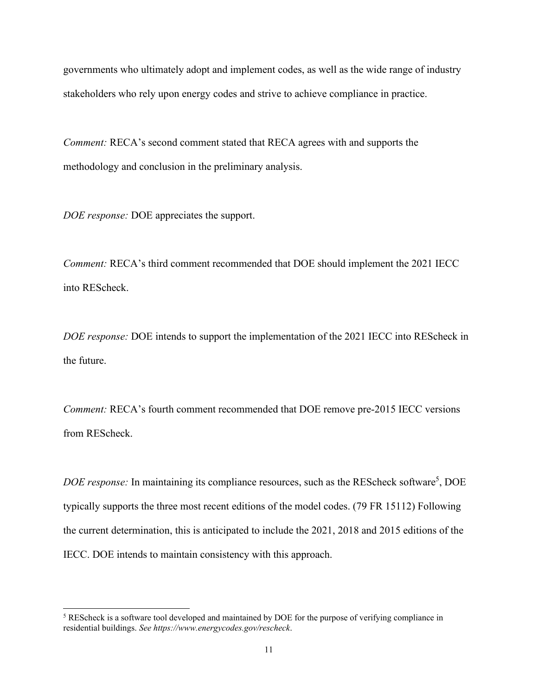governments who ultimately adopt and implement codes, as well as the wide range of industry stakeholders who rely upon energy codes and strive to achieve compliance in practice.

*Comment: RECA's second comment stated that RECA agrees with and supports the* methodology and conclusion in the preliminary analysis.

*DOE response:* DOE appreciates the support.

*Comment:* RECA's third comment recommended that DOE should implement the 2021 IECC into REScheck.

*DOE response:* DOE intends to support the implementation of the 2021 IECC into REScheck in the future.

*Comment:* RECA's fourth comment recommended that DOE remove pre-2015 IECC versions from REScheck.

DOE response: In maintaining its compliance resources, such as the REScheck software<sup>5</sup>, DOE typically supports the three most recent editions of the model codes. (79 FR 15112) Following the current determination, this is anticipated to include the 2021, 2018 and 2015 editions of the IECC. DOE intends to maintain consistency with this approach.

<sup>&</sup>lt;sup>5</sup> REScheck is a software tool developed and maintained by DOE for the purpose of verifying compliance in residential buildings. *See htt[ps://www.energycodes.gov/rescheck](http://www.energycodes.gov/rescheck)*.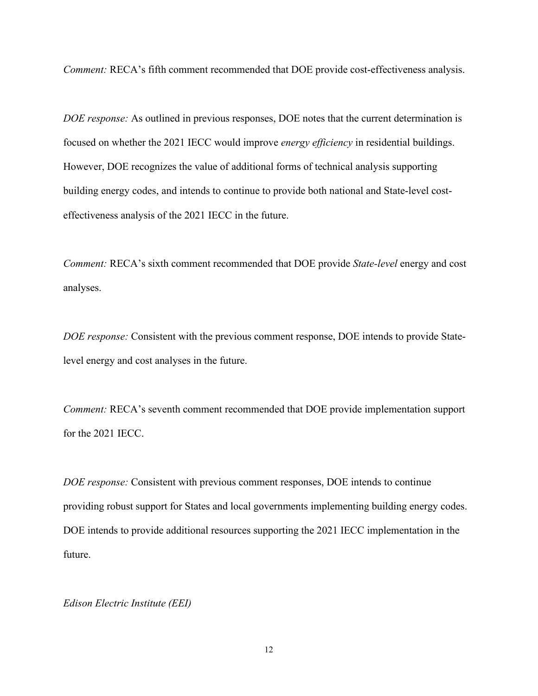*Comment: RECA's fifth comment recommended that DOE provide cost-effectiveness analysis.* 

*DOE response:* As outlined in previous responses, DOE notes that the current determination is focused on whether the 2021 IECC would improve *energy efficiency* in residential buildings. However, DOE recognizes the value of additional forms of technical analysis supporting building energy codes, and intends to continue to provide both national and State-level costeffectiveness analysis of the 2021 IECC in the future.

*Comment:* RECA's sixth comment recommended that DOE provide *State-level* energy and cost analyses.

*DOE response:* Consistent with the previous comment response, DOE intends to provide Statelevel energy and cost analyses in the future.

*Comment:* RECA's seventh comment recommended that DOE provide implementation support for the 2021 IECC.

*DOE response:* Consistent with previous comment responses, DOE intends to continue providing robust support for States and local governments implementing building energy codes. DOE intends to provide additional resources supporting the 2021 IECC implementation in the future.

*Edison Electric Institute (EEI)*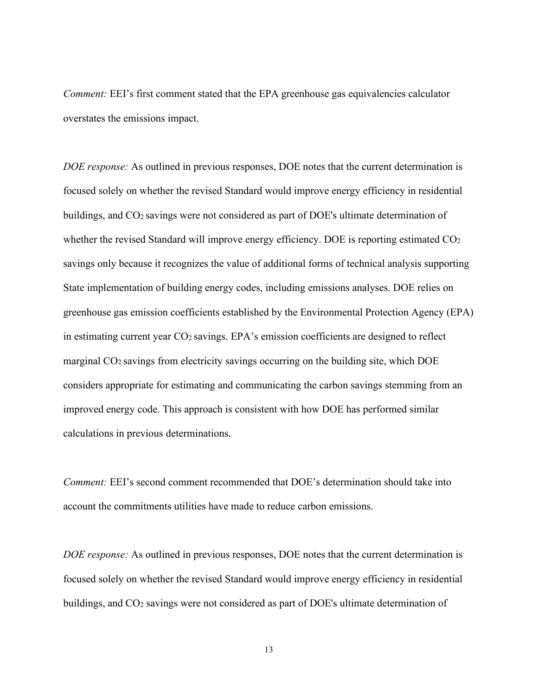*Comment:* EEI's first comment stated that the EPA greenhouse gas equivalencies calculator overstates the emissions impact.

*DOE response:* As outlined in previous responses, DOE notes that the current determination is focused solely on whether the revised Standard would improve energy efficiency in residential buildings, and CO2 savings were not considered as part of DOE's ultimate determination of whether the revised Standard will improve energy efficiency. DOE is reporting estimated CO<sub>2</sub> savings only because it recognizes the value of additional forms of technical analysis supporting State implementation of building energy codes, including emissions analyses. DOE relies on greenhouse gas emission coefficients established by the Environmental Protection Agency (EPA) in estimating current year CO2 savings. EPA's emission coefficients are designed to reflect marginal  $CO<sub>2</sub>$  savings from electricity savings occurring on the building site, which DOE considers appropriate for estimating and communicating the carbon savings stemming from an improved energy code. This approach is consistent with how DOE has performed similar calculations in previous determinations.

*Comment:* EEI's second comment recommended that DOE's determination should take into account the commitments utilities have made to reduce carbon emissions.

*DOE response:* As outlined in previous responses, DOE notes that the current determination is focused solely on whether the revised Standard would improve energy efficiency in residential buildings, and CO<sub>2</sub> savings were not considered as part of DOE's ultimate determination of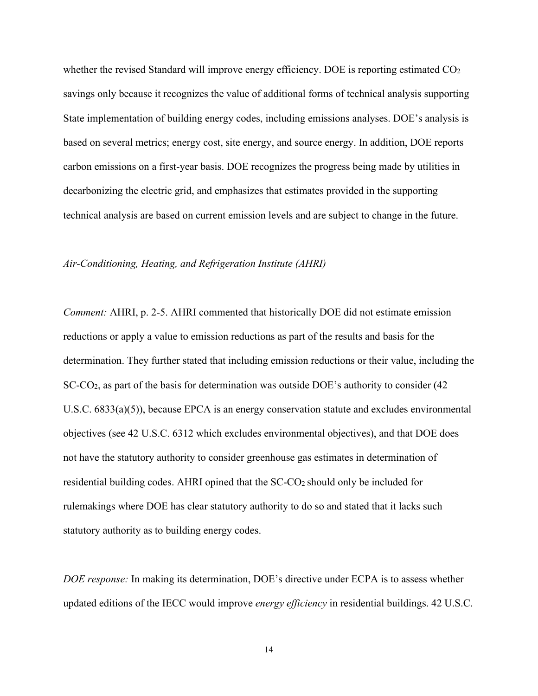whether the revised Standard will improve energy efficiency. DOE is reporting estimated  $CO<sub>2</sub>$ savings only because it recognizes the value of additional forms of technical analysis supporting State implementation of building energy codes, including emissions analyses. DOE's analysis is based on several metrics; energy cost, site energy, and source energy. In addition, DOE reports carbon emissions on a first-year basis. DOE recognizes the progress being made by utilities in decarbonizing the electric grid, and emphasizes that estimates provided in the supporting technical analysis are based on current emission levels and are subject to change in the future.

# *Air-Conditioning, Heating, and Refrigeration Institute (AHRI)*

*Comment:* AHRI, p. 2-5. AHRI commented that historically DOE did not estimate emission reductions or apply a value to emission reductions as part of the results and basis for the determination. They further stated that including emission reductions or their value, including the SC-CO2, as part of the basis for determination was outside DOE's authority to consider (42 U.S.C. 6833(a)(5)), because EPCA is an energy conservation statute and excludes environmental objectives (see 42 U.S.C. 6312 which excludes environmental objectives), and that DOE does not have the statutory authority to consider greenhouse gas estimates in determination of residential building codes. AHRI opined that the SC-CO2 should only be included for rulemakings where DOE has clear statutory authority to do so and stated that it lacks such statutory authority as to building energy codes.

*DOE response:* In making its determination, DOE's directive under ECPA is to assess whether updated editions of the IECC would improve *energy efficiency* in residential buildings. 42 U.S.C.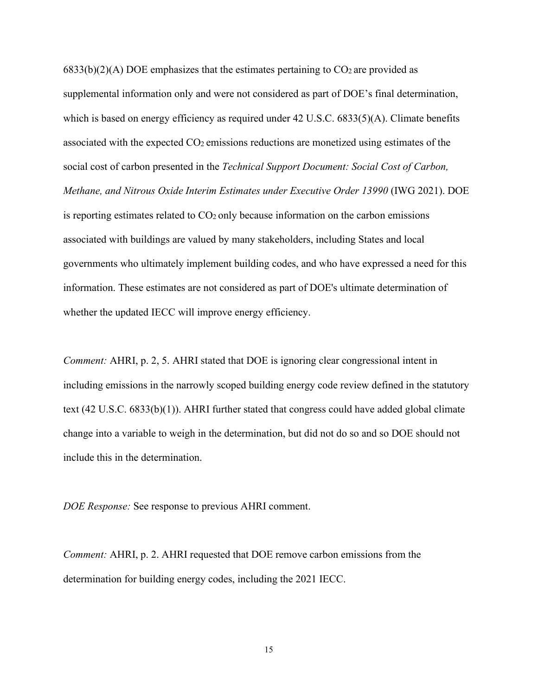$6833(b)(2)(A)$  DOE emphasizes that the estimates pertaining to CO<sub>2</sub> are provided as supplemental information only and were not considered as part of DOE's final determination, which is based on energy efficiency as required under 42 U.S.C. 6833(5)(A). Climate benefits associated with the expected CO2 emissions reductions are monetized using estimates of the social cost of carbon presented in the *Technical Support Document: Social Cost of Carbon, Methane, and Nitrous Oxide Interim Estimates under Executive Order 13990* (IWG 2021). DOE is reporting estimates related to CO2 only because information on the carbon emissions associated with buildings are valued by many stakeholders, including States and local governments who ultimately implement building codes, and who have expressed a need for this information. These estimates are not considered as part of DOE's ultimate determination of whether the updated IECC will improve energy efficiency.

*Comment:* AHRI, p. 2, 5. AHRI stated that DOE is ignoring clear congressional intent in including emissions in the narrowly scoped building energy code review defined in the statutory text (42 U.S.C. 6833(b)(1)). AHRI further stated that congress could have added global climate change into a variable to weigh in the determination, but did not do so and so DOE should not include this in the determination.

*DOE Response:* See response to previous AHRI comment.

*Comment:* AHRI, p. 2. AHRI requested that DOE remove carbon emissions from the determination for building energy codes, including the 2021 IECC.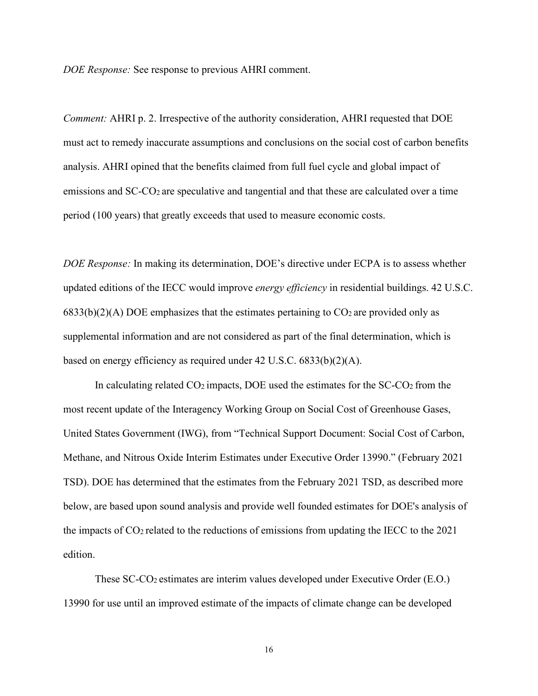*DOE Response:* See response to previous AHRI comment.

*Comment:* AHRI p. 2. Irrespective of the authority consideration, AHRI requested that DOE must act to remedy inaccurate assumptions and conclusions on the social cost of carbon benefits analysis. AHRI opined that the benefits claimed from full fuel cycle and global impact of emissions and SC-CO<sub>2</sub> are speculative and tangential and that these are calculated over a time period (100 years) that greatly exceeds that used to measure economic costs.

*DOE Response:* In making its determination, DOE's directive under ECPA is to assess whether updated editions of the IECC would improve *energy efficiency* in residential buildings. 42 U.S.C.  $6833(b)(2)(A)$  DOE emphasizes that the estimates pertaining to CO<sub>2</sub> are provided only as supplemental information and are not considered as part of the final determination, which is based on energy efficiency as required under 42 U.S.C. 6833(b)(2)(A).

In calculating related  $CO<sub>2</sub>$  impacts, DOE used the estimates for the SC- $CO<sub>2</sub>$  from the most recent update of the Interagency Working Group on Social Cost of Greenhouse Gases, United States Government (IWG), from "Technical Support Document: Social Cost of Carbon, Methane, and Nitrous Oxide Interim Estimates under Executive Order 13990." (February 2021 TSD). DOE has determined that the estimates from the February 2021 TSD, as described more below, are based upon sound analysis and provide well founded estimates for DOE's analysis of the impacts of  $CO_2$  related to the reductions of emissions from updating the IECC to the 2021 edition.

These SC-CO2 estimates are interim values developed under Executive Order (E.O.) 13990 for use until an improved estimate of the impacts of climate change can be developed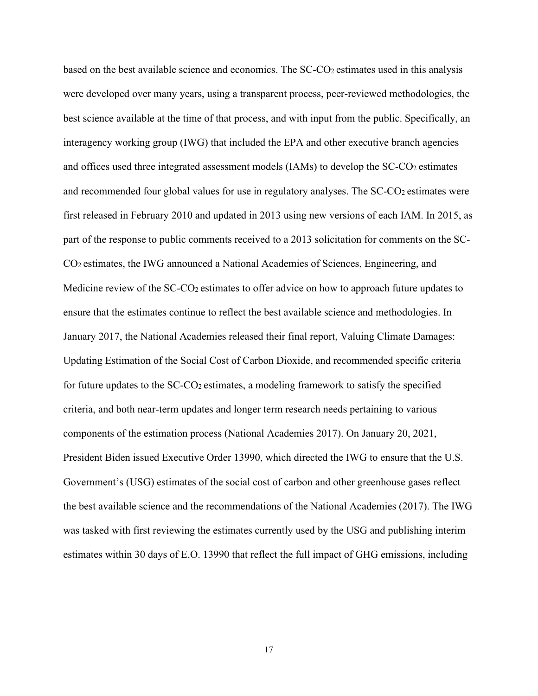based on the best available science and economics. The SC-CO2 estimates used in this analysis were developed over many years, using a transparent process, peer-reviewed methodologies, the best science available at the time of that process, and with input from the public. Specifically, an interagency working group (IWG) that included the EPA and other executive branch agencies and offices used three integrated assessment models (IAMs) to develop the SC-CO<sub>2</sub> estimates and recommended four global values for use in regulatory analyses. The SC-CO2 estimates were first released in February 2010 and updated in 2013 using new versions of each IAM. In 2015, as part of the response to public comments received to a 2013 solicitation for comments on the SC-CO2 estimates, the IWG announced a National Academies of Sciences, Engineering, and Medicine review of the SC-CO<sub>2</sub> estimates to offer advice on how to approach future updates to ensure that the estimates continue to reflect the best available science and methodologies. In January 2017, the National Academies released their final report, Valuing Climate Damages: Updating Estimation of the Social Cost of Carbon Dioxide, and recommended specific criteria for future updates to the SC-CO2 estimates, a modeling framework to satisfy the specified criteria, and both near-term updates and longer term research needs pertaining to various components of the estimation process (National Academies 2017). On January 20, 2021, President Biden issued Executive Order 13990, which directed the IWG to ensure that the U.S. Government's (USG) estimates of the social cost of carbon and other greenhouse gases reflect the best available science and the recommendations of the National Academies (2017). The IWG was tasked with first reviewing the estimates currently used by the USG and publishing interim estimates within 30 days of E.O. 13990 that reflect the full impact of GHG emissions, including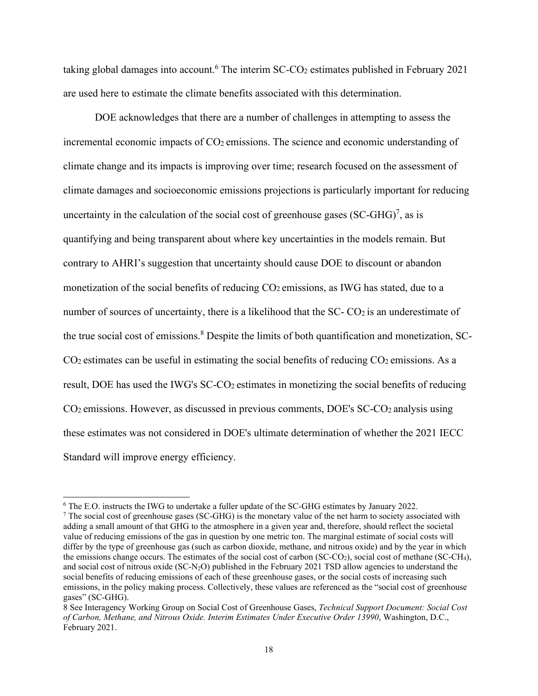taking global damages into account.<sup>6</sup> The interim  $SC-CO<sub>2</sub>$  estimates published in February 2021 are used here to estimate the climate benefits associated with this determination.

DOE acknowledges that there are a number of challenges in attempting to assess the incremental economic impacts of  $CO<sub>2</sub>$  emissions. The science and economic understanding of climate change and its impacts is improving over time; research focused on the assessment of climate damages and socioeconomic emissions projections is particularly important for reducing uncertainty in the calculation of the social cost of greenhouse gases  $(SC-GHG)^7$ , as is quantifying and being transparent about where key uncertainties in the models remain. But contrary to AHRI's suggestion that uncertainty should cause DOE to discount or abandon monetization of the social benefits of reducing CO2 emissions, as IWG has stated, due to a number of sources of uncertainty, there is a likelihood that the  $SC-CO<sub>2</sub>$  is an underestimate of the true social cost of emissions.<sup>8</sup> Despite the limits of both quantification and monetization, SC- $CO<sub>2</sub>$  estimates can be useful in estimating the social benefits of reducing  $CO<sub>2</sub>$  emissions. As a result, DOE has used the IWG's SC-CO2 estimates in monetizing the social benefits of reducing CO2 emissions. However, as discussed in previous comments, DOE's SC-CO2 analysis using these estimates was not considered in DOE's ultimate determination of whether the 2021 IECC Standard will improve energy efficiency.

<sup>6</sup> The E.O. instructs the IWG to undertake a fuller update of the SC-GHG estimates by January 2022.

<sup>7</sup> The social cost of greenhouse gases (SC-GHG) is the monetary value of the net harm to society associated with adding a small amount of that GHG to the atmosphere in a given year and, therefore, should reflect the societal value of reducing emissions of the gas in question by one metric ton. The marginal estimate of social costs will differ by the type of greenhouse gas (such as carbon dioxide, methane, and nitrous oxide) and by the year in which the emissions change occurs. The estimates of the social cost of carbon (SC-CO<sub>2</sub>), social cost of methane (SC-CH<sub>4</sub>), and social cost of nitrous oxide (SC-N<sub>2</sub>O) published in the February 2021 TSD allow agencies to understand the social benefits of reducing emissions of each of these greenhouse gases, or the social costs of increasing such emissions, in the policy making process. Collectively, these values are referenced as the "social cost of greenhouse gases" (SC-GHG).

<sup>8</sup> See Interagency Working Group on Social Cost of Greenhouse Gases, *Technical Support Document: Social Cost of Carbon, Methane, and Nitrous Oxide. Interim Estimates Under Executive Order 13990*, Washington, D.C., February 2021.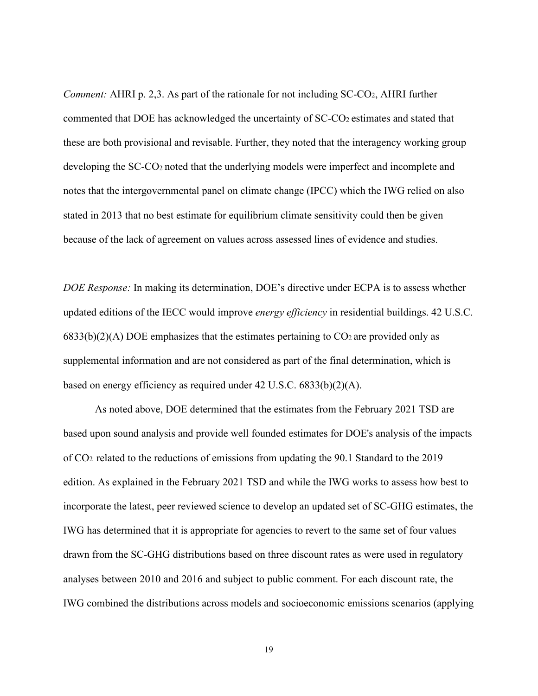*Comment:* AHRI p. 2,3. As part of the rationale for not including SC-CO2, AHRI further commented that DOE has acknowledged the uncertainty of SC-CO<sub>2</sub> estimates and stated that these are both provisional and revisable. Further, they noted that the interagency working group developing the SC-CO2 noted that the underlying models were imperfect and incomplete and notes that the intergovernmental panel on climate change (IPCC) which the IWG relied on also stated in 2013 that no best estimate for equilibrium climate sensitivity could then be given because of the lack of agreement on values across assessed lines of evidence and studies.

*DOE Response:* In making its determination, DOE's directive under ECPA is to assess whether updated editions of the IECC would improve *energy efficiency* in residential buildings. 42 U.S.C.  $6833(b)(2)(A)$  DOE emphasizes that the estimates pertaining to CO<sub>2</sub> are provided only as supplemental information and are not considered as part of the final determination, which is based on energy efficiency as required under 42 U.S.C. 6833(b)(2)(A).

As noted above, DOE determined that the estimates from the February 2021 TSD are based upon sound analysis and provide well founded estimates for DOE's analysis of the impacts of CO2 related to the reductions of emissions from updating the 90.1 Standard to the 2019 edition. As explained in the February 2021 TSD and while the IWG works to assess how best to incorporate the latest, peer reviewed science to develop an updated set of SC-GHG estimates, the IWG has determined that it is appropriate for agencies to revert to the same set of four values drawn from the SC-GHG distributions based on three discount rates as were used in regulatory analyses between 2010 and 2016 and subject to public comment. For each discount rate, the IWG combined the distributions across models and socioeconomic emissions scenarios (applying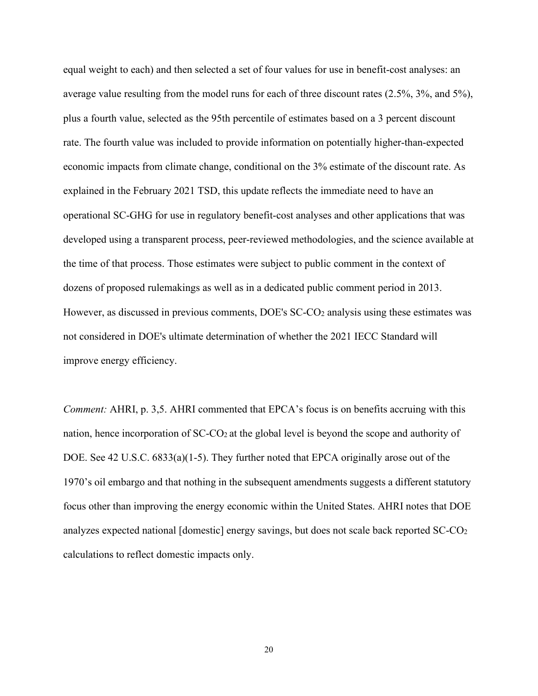equal weight to each) and then selected a set of four values for use in benefit-cost analyses: an average value resulting from the model runs for each of three discount rates (2.5%, 3%, and 5%), plus a fourth value, selected as the 95th percentile of estimates based on a 3 percent discount rate. The fourth value was included to provide information on potentially higher-than-expected economic impacts from climate change, conditional on the 3% estimate of the discount rate. As explained in the February 2021 TSD, this update reflects the immediate need to have an operational SC-GHG for use in regulatory benefit-cost analyses and other applications that was developed using a transparent process, peer-reviewed methodologies, and the science available at the time of that process. Those estimates were subject to public comment in the context of dozens of proposed rulemakings as well as in a dedicated public comment period in 2013. However, as discussed in previous comments, DOE's SC-CO2 analysis using these estimates was not considered in DOE's ultimate determination of whether the 2021 IECC Standard will improve energy efficiency.

*Comment:* AHRI, p. 3,5. AHRI commented that EPCA's focus is on benefits accruing with this nation, hence incorporation of SC-CO2 at the global level is beyond the scope and authority of DOE. See 42 U.S.C. 6833(a)(1-5). They further noted that EPCA originally arose out of the 1970's oil embargo and that nothing in the subsequent amendments suggests a different statutory focus other than improving the energy economic within the United States. AHRI notes that DOE analyzes expected national [domestic] energy savings, but does not scale back reported SC-CO2 calculations to reflect domestic impacts only.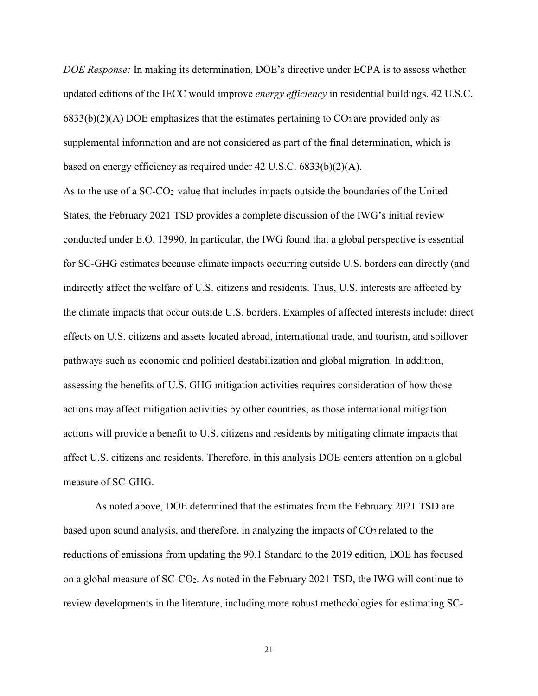*DOE Response:* In making its determination, DOE's directive under ECPA is to assess whether updated editions of the IECC would improve *energy efficiency* in residential buildings. 42 U.S.C.  $6833(b)(2)(A)$  DOE emphasizes that the estimates pertaining to CO<sub>2</sub> are provided only as supplemental information and are not considered as part of the final determination, which is based on energy efficiency as required under 42 U.S.C. 6833(b)(2)(A).

As to the use of a SC-CO2 value that includes impacts outside the boundaries of the United States, the February 2021 TSD provides a complete discussion of the IWG's initial review conducted under E.O. 13990. In particular, the IWG found that a global perspective is essential for SC-GHG estimates because climate impacts occurring outside U.S. borders can directly (and indirectly affect the welfare of U.S. citizens and residents. Thus, U.S. interests are affected by the climate impacts that occur outside U.S. borders. Examples of affected interests include: direct effects on U.S. citizens and assets located abroad, international trade, and tourism, and spillover pathways such as economic and political destabilization and global migration. In addition, assessing the benefits of U.S. GHG mitigation activities requires consideration of how those actions may affect mitigation activities by other countries, as those international mitigation actions will provide a benefit to U.S. citizens and residents by mitigating climate impacts that affect U.S. citizens and residents. Therefore, in this analysis DOE centers attention on a global measure of SC-GHG.

As noted above, DOE determined that the estimates from the February 2021 TSD are based upon sound analysis, and therefore, in analyzing the impacts of  $CO<sub>2</sub>$  related to the reductions of emissions from updating the 90.1 Standard to the 2019 edition, DOE has focused on a global measure of SC-CO2. As noted in the February 2021 TSD, the IWG will continue to review developments in the literature, including more robust methodologies for estimating SC-

21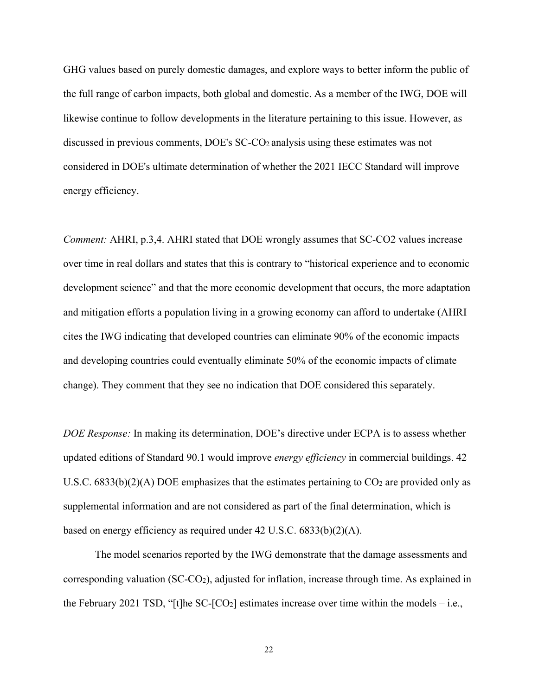GHG values based on purely domestic damages, and explore ways to better inform the public of the full range of carbon impacts, both global and domestic. As a member of the IWG, DOE will likewise continue to follow developments in the literature pertaining to this issue. However, as discussed in previous comments, DOE's SC-CO2 analysis using these estimates was not considered in DOE's ultimate determination of whether the 2021 IECC Standard will improve energy efficiency.

*Comment: AHRI, p.3,4. AHRI stated that DOE wrongly assumes that SC-CO2 values increase* over time in real dollars and states that this is contrary to "historical experience and to economic development science" and that the more economic development that occurs, the more adaptation and mitigation efforts a population living in a growing economy can afford to undertake (AHRI cites the IWG indicating that developed countries can eliminate 90% of the economic impacts and developing countries could eventually eliminate 50% of the economic impacts of climate change). They comment that they see no indication that DOE considered this separately.

*DOE Response:* In making its determination, DOE's directive under ECPA is to assess whether updated editions of Standard 90.1 would improve *energy efficiency* in commercial buildings. 42 U.S.C.  $6833(b)(2)(A)$  DOE emphasizes that the estimates pertaining to  $CO<sub>2</sub>$  are provided only as supplemental information and are not considered as part of the final determination, which is based on energy efficiency as required under 42 U.S.C. 6833(b)(2)(A).

The model scenarios reported by the IWG demonstrate that the damage assessments and corresponding valuation (SC-CO2), adjusted for inflation, increase through time. As explained in the February 2021 TSD, "[t]he SC- $[CO_2]$  estimates increase over time within the models – i.e.,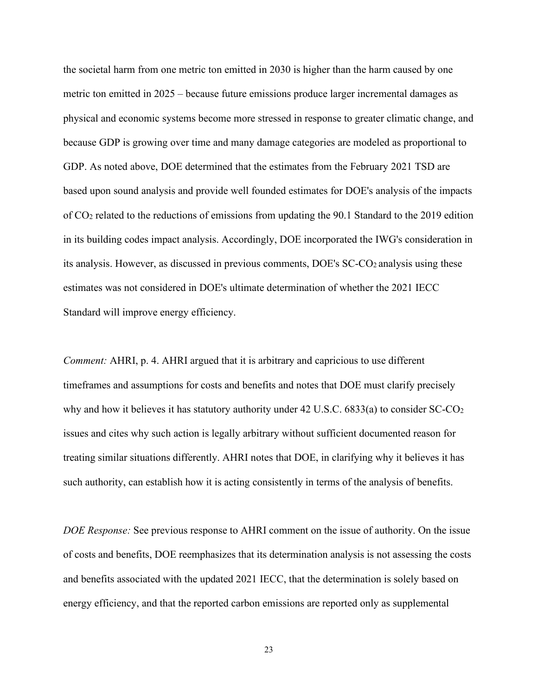the societal harm from one metric ton emitted in 2030 is higher than the harm caused by one metric ton emitted in 2025 – because future emissions produce larger incremental damages as physical and economic systems become more stressed in response to greater climatic change, and because GDP is growing over time and many damage categories are modeled as proportional to GDP. As noted above, DOE determined that the estimates from the February 2021 TSD are based upon sound analysis and provide well founded estimates for DOE's analysis of the impacts of CO2 related to the reductions of emissions from updating the 90.1 Standard to the 2019 edition in its building codes impact analysis. Accordingly, DOE incorporated the IWG's consideration in its analysis. However, as discussed in previous comments, DOE's SC-CO2 analysis using these estimates was not considered in DOE's ultimate determination of whether the 2021 IECC Standard will improve energy efficiency.

*Comment:* AHRI, p. 4. AHRI argued that it is arbitrary and capricious to use different timeframes and assumptions for costs and benefits and notes that DOE must clarify precisely why and how it believes it has statutory authority under 42 U.S.C.  $6833(a)$  to consider SC-CO<sub>2</sub> issues and cites why such action is legally arbitrary without sufficient documented reason for treating similar situations differently. AHRI notes that DOE, in clarifying why it believes it has such authority, can establish how it is acting consistently in terms of the analysis of benefits.

*DOE Response:* See previous response to AHRI comment on the issue of authority. On the issue of costs and benefits, DOE reemphasizes that its determination analysis is not assessing the costs and benefits associated with the updated 2021 IECC, that the determination is solely based on energy efficiency, and that the reported carbon emissions are reported only as supplemental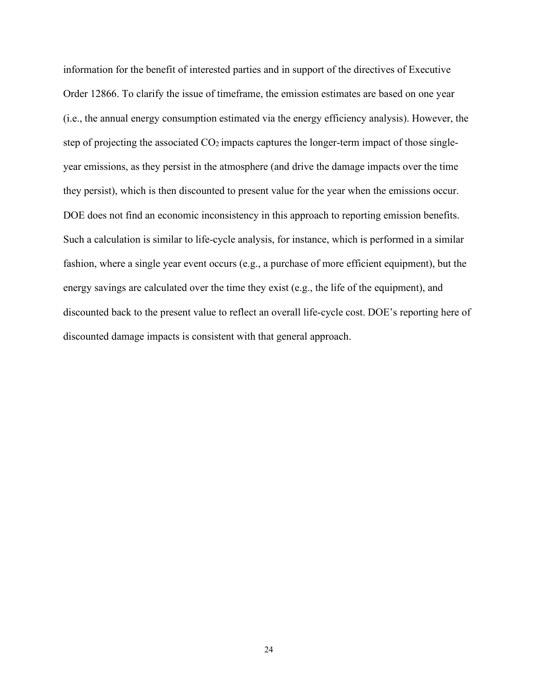information for the benefit of interested parties and in support of the directives of Executive Order 12866. To clarify the issue of timeframe, the emission estimates are based on one year (i.e., the annual energy consumption estimated via the energy efficiency analysis). However, the step of projecting the associated  $CO<sub>2</sub>$  impacts captures the longer-term impact of those singleyear emissions, as they persist in the atmosphere (and drive the damage impacts over the time they persist), which is then discounted to present value for the year when the emissions occur. DOE does not find an economic inconsistency in this approach to reporting emission benefits. Such a calculation is similar to life-cycle analysis, for instance, which is performed in a similar fashion, where a single year event occurs (e.g., a purchase of more efficient equipment), but the energy savings are calculated over the time they exist (e.g., the life of the equipment), and discounted back to the present value to reflect an overall life-cycle cost. DOE's reporting here of discounted damage impacts is consistent with that general approach.